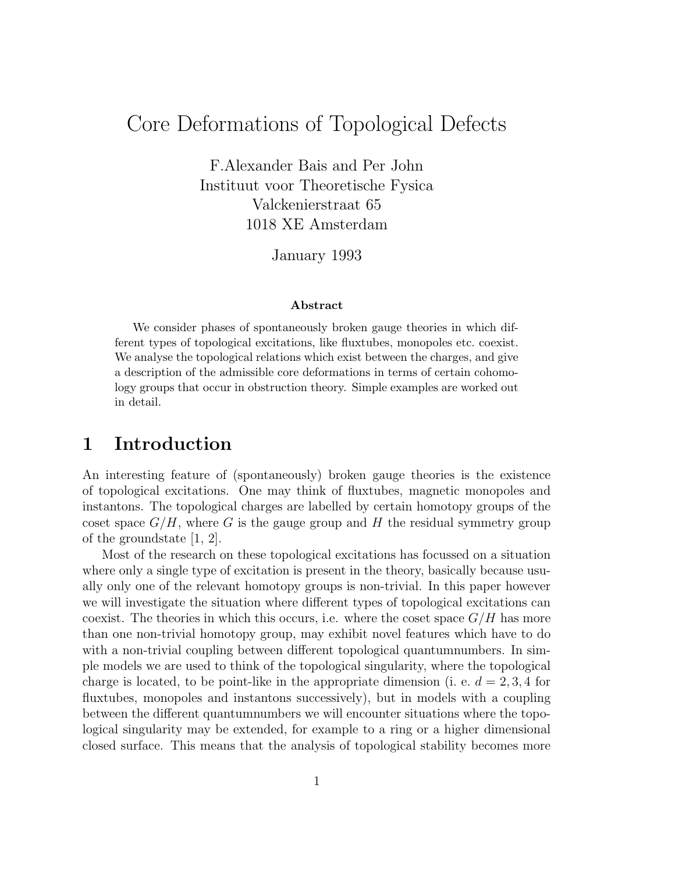# Core Deformations of Topological Defects

F.Alexander Bais and Per John Instituut voor Theoretische Fysica Valckenierstraat 65 1018 XE Amsterdam

January 1993

#### Abstract

We consider phases of spontaneously broken gauge theories in which different types of topological excitations, like fluxtubes, monopoles etc. coexist. We analyse the topological relations which exist between the charges, and give a description of the admissible core deformations in terms of certain cohomology groups that occur in obstruction theory. Simple examples are worked out in detail.

## 1 Introduction

An interesting feature of (spontaneously) broken gauge theories is the existence of topological excitations. One may think of fluxtubes, magnetic monopoles and instantons. The topological charges are labelled by certain homotopy groups of the coset space  $G/H$ , where G is the gauge group and H the residual symmetry group of the groundstate [1, 2].

Most of the research on these topological excitations has focussed on a situation where only a single type of excitation is present in the theory, basically because usually only one of the relevant homotopy groups is non-trivial. In this paper however we will investigate the situation where different types of topological excitations can coexist. The theories in which this occurs, i.e. where the coset space  $G/H$  has more than one non-trivial homotopy group, may exhibit novel features which have to do with a non-trivial coupling between different topological quantumnumbers. In simple models we are used to think of the topological singularity, where the topological charge is located, to be point-like in the appropriate dimension (i. e.  $d = 2, 3, 4$  for fluxtubes, monopoles and instantons successively), but in models with a coupling between the different quantumnumbers we will encounter situations where the topological singularity may be extended, for example to a ring or a higher dimensional closed surface. This means that the analysis of topological stability becomes more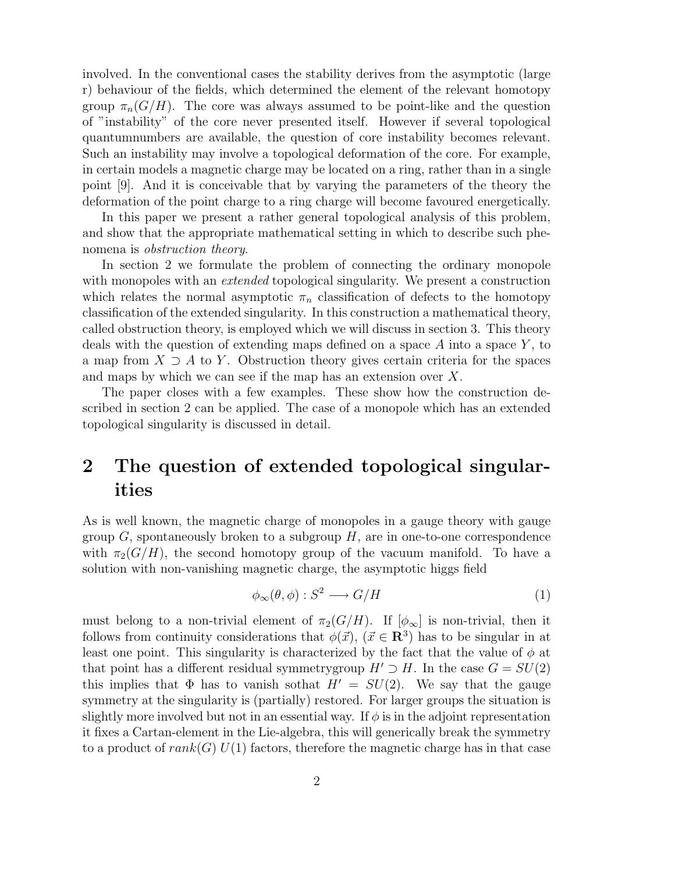involved. In the conventional cases the stability derives from the asymptotic (large r) behaviour of the fields, which determined the element of the relevant homotopy group  $\pi_n(G/H)$ . The core was always assumed to be point-like and the question of "instability" of the core never presented itself. However if several topological quantumnumbers are available, the question of core instability becomes relevant. Such an instability may involve a topological deformation of the core. For example, in certain models a magnetic charge may be located on a ring, rather than in a single point [9]. And it is conceivable that by varying the parameters of the theory the deformation of the point charge to a ring charge will become favoured energetically.

In this paper we present a rather general topological analysis of this problem, and show that the appropriate mathematical setting in which to describe such phenomena is obstruction theory.

In section 2 we formulate the problem of connecting the ordinary monopole with monopoles with an *extended* topological singularity. We present a construction which relates the normal asymptotic  $\pi_n$  classification of defects to the homotopy classification of the extended singularity. In this construction a mathematical theory, called obstruction theory, is employed which we will discuss in section 3. This theory deals with the question of extending maps defined on a space  $A$  into a space  $Y$ , to a map from  $X \supseteq A$  to Y. Obstruction theory gives certain criteria for the spaces and maps by which we can see if the map has an extension over X.

The paper closes with a few examples. These show how the construction described in section 2 can be applied. The case of a monopole which has an extended topological singularity is discussed in detail.

## 2 The question of extended topological singularities

As is well known, the magnetic charge of monopoles in a gauge theory with gauge group  $G$ , spontaneously broken to a subgroup  $H$ , are in one-to-one correspondence with  $\pi_2(G/H)$ , the second homotopy group of the vacuum manifold. To have a solution with non-vanishing magnetic charge, the asymptotic higgs field

$$
\phi_{\infty}(\theta,\phi) : S^2 \longrightarrow G/H \tag{1}
$$

must belong to a non-trivial element of  $\pi_2(G/H)$ . If  $[\phi_\infty]$  is non-trivial, then it follows from continuity considerations that  $\phi(\vec{x})$ ,  $(\vec{x} \in \mathbb{R}^3)$  has to be singular in at least one point. This singularity is characterized by the fact that the value of  $\phi$  at that point has a different residual symmetry group  $H' \supset H$ . In the case  $G = SU(2)$ this implies that  $\Phi$  has to vanish sothat  $H' = SU(2)$ . We say that the gauge symmetry at the singularity is (partially) restored. For larger groups the situation is slightly more involved but not in an essential way. If  $\phi$  is in the adjoint representation it fixes a Cartan-element in the Lie-algebra, this will generically break the symmetry to a product of  $rank(G)$   $U(1)$  factors, therefore the magnetic charge has in that case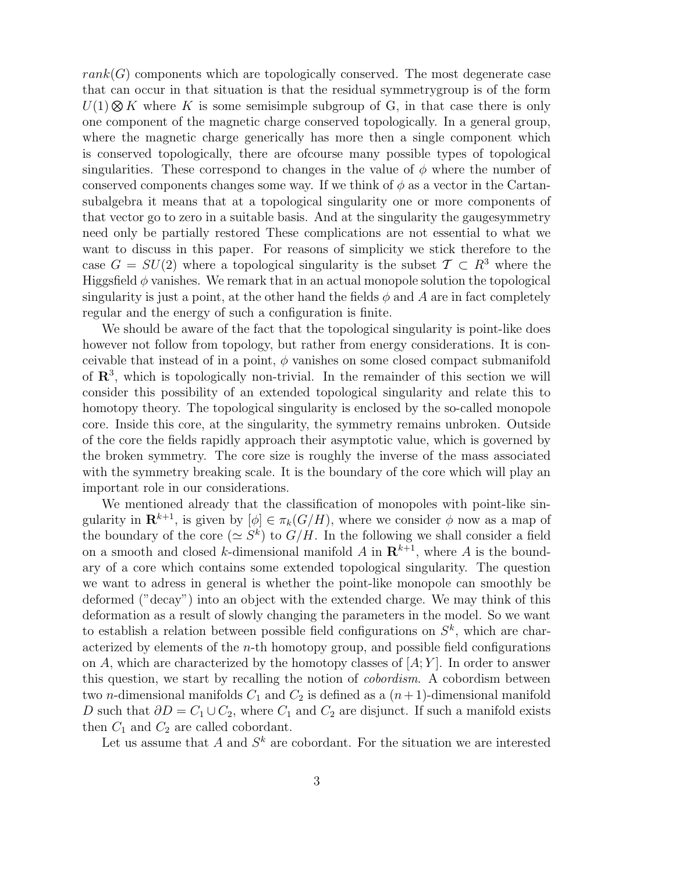$rank(G)$  components which are topologically conserved. The most degenerate case that can occur in that situation is that the residual symmetrygroup is of the form  $U(1) \otimes K$  where K is some semisimple subgroup of G, in that case there is only one component of the magnetic charge conserved topologically. In a general group, where the magnetic charge generically has more then a single component which is conserved topologically, there are ofcourse many possible types of topological singularities. These correspond to changes in the value of  $\phi$  where the number of conserved components changes some way. If we think of  $\phi$  as a vector in the Cartansubalgebra it means that at a topological singularity one or more components of that vector go to zero in a suitable basis. And at the singularity the gaugesymmetry need only be partially restored These complications are not essential to what we want to discuss in this paper. For reasons of simplicity we stick therefore to the case  $G = SU(2)$  where a topological singularity is the subset  $\mathcal{T} \subset R^3$  where the Higgsfield  $\phi$  vanishes. We remark that in an actual monopole solution the topological singularity is just a point, at the other hand the fields  $\phi$  and A are in fact completely regular and the energy of such a configuration is finite.

We should be aware of the fact that the topological singularity is point-like does however not follow from topology, but rather from energy considerations. It is conceivable that instead of in a point,  $\phi$  vanishes on some closed compact submanifold of  $\mathbb{R}^3$ , which is topologically non-trivial. In the remainder of this section we will consider this possibility of an extended topological singularity and relate this to homotopy theory. The topological singularity is enclosed by the so-called monopole core. Inside this core, at the singularity, the symmetry remains unbroken. Outside of the core the fields rapidly approach their asymptotic value, which is governed by the broken symmetry. The core size is roughly the inverse of the mass associated with the symmetry breaking scale. It is the boundary of the core which will play an important role in our considerations.

We mentioned already that the classification of monopoles with point-like singularity in  $\mathbf{R}^{k+1}$ , is given by  $[\phi] \in \pi_k(G/H)$ , where we consider  $\phi$  now as a map of the boundary of the core  $(\simeq S^k)$  to  $G/H$ . In the following we shall consider a field on a smooth and closed k-dimensional manifold A in  $\mathbb{R}^{k+1}$ , where A is the boundary of a core which contains some extended topological singularity. The question we want to adress in general is whether the point-like monopole can smoothly be deformed ("decay") into an object with the extended charge. We may think of this deformation as a result of slowly changing the parameters in the model. So we want to establish a relation between possible field configurations on  $S^k$ , which are characterized by elements of the  $n$ -th homotopy group, and possible field configurations on A, which are characterized by the homotopy classes of  $|A; Y|$ . In order to answer this question, we start by recalling the notion of cobordism. A cobordism between two *n*-dimensional manifolds  $C_1$  and  $C_2$  is defined as a  $(n+1)$ -dimensional manifold D such that  $\partial D = C_1 \cup C_2$ , where  $C_1$  and  $C_2$  are disjunct. If such a manifold exists then  $C_1$  and  $C_2$  are called cobordant.

Let us assume that A and  $S^k$  are cobordant. For the situation we are interested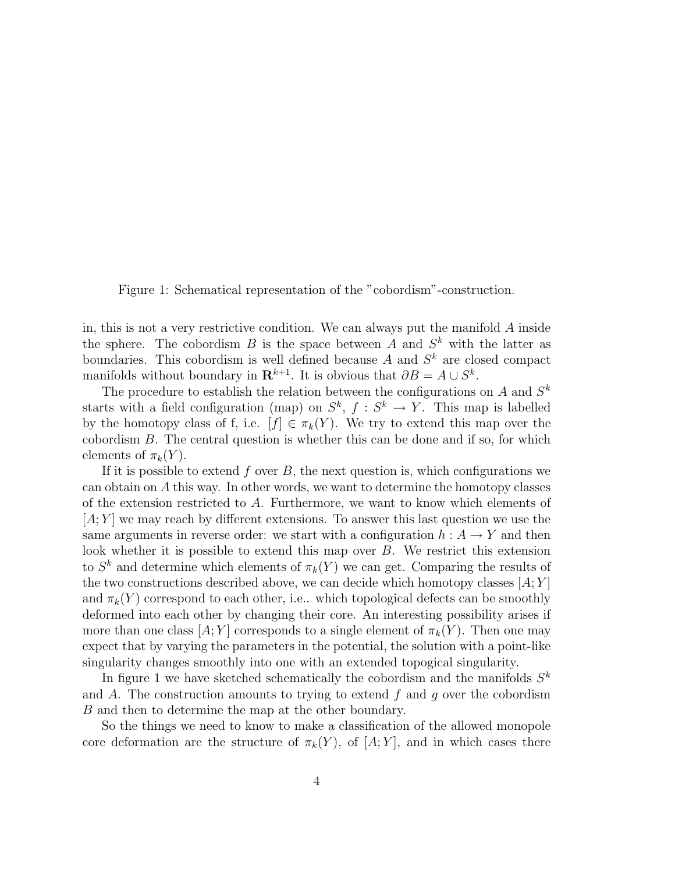Figure 1: Schematical representation of the "cobordism"-construction.

in, this is not a very restrictive condition. We can always put the manifold A inside the sphere. The cobordism B is the space between A and  $S<sup>k</sup>$  with the latter as boundaries. This cobordism is well defined because A and  $S<sup>k</sup>$  are closed compact manifolds without boundary in  $\mathbf{R}^{k+1}$ . It is obvious that  $\partial B = A \cup S^k$ .

The procedure to establish the relation between the configurations on  $A$  and  $S^k$ starts with a field configuration (map) on  $S^k$ ,  $f: S^k \to Y$ . This map is labelled by the homotopy class of f, i.e.  $[f] \in \pi_k(Y)$ . We try to extend this map over the cobordism B. The central question is whether this can be done and if so, for which elements of  $\pi_k(Y)$ .

If it is possible to extend f over  $B$ , the next question is, which configurations we can obtain on A this way. In other words, we want to determine the homotopy classes of the extension restricted to A. Furthermore, we want to know which elements of  $[A; Y]$  we may reach by different extensions. To answer this last question we use the same arguments in reverse order: we start with a configuration  $h : A \to Y$  and then look whether it is possible to extend this map over B. We restrict this extension to  $S^k$  and determine which elements of  $\pi_k(Y)$  we can get. Comparing the results of the two constructions described above, we can decide which homotopy classes  $[A; Y]$ and  $\pi_k(Y)$  correspond to each other, i.e.. which topological defects can be smoothly deformed into each other by changing their core. An interesting possibility arises if more than one class  $[A; Y]$  corresponds to a single element of  $\pi_k(Y)$ . Then one may expect that by varying the parameters in the potential, the solution with a point-like singularity changes smoothly into one with an extended topogical singularity.

In figure 1 we have sketched schematically the cobordism and the manifolds  $S<sup>k</sup>$ and A. The construction amounts to trying to extend f and g over the cobordism B and then to determine the map at the other boundary.

So the things we need to know to make a classification of the allowed monopole core deformation are the structure of  $\pi_k(Y)$ , of  $[A;Y]$ , and in which cases there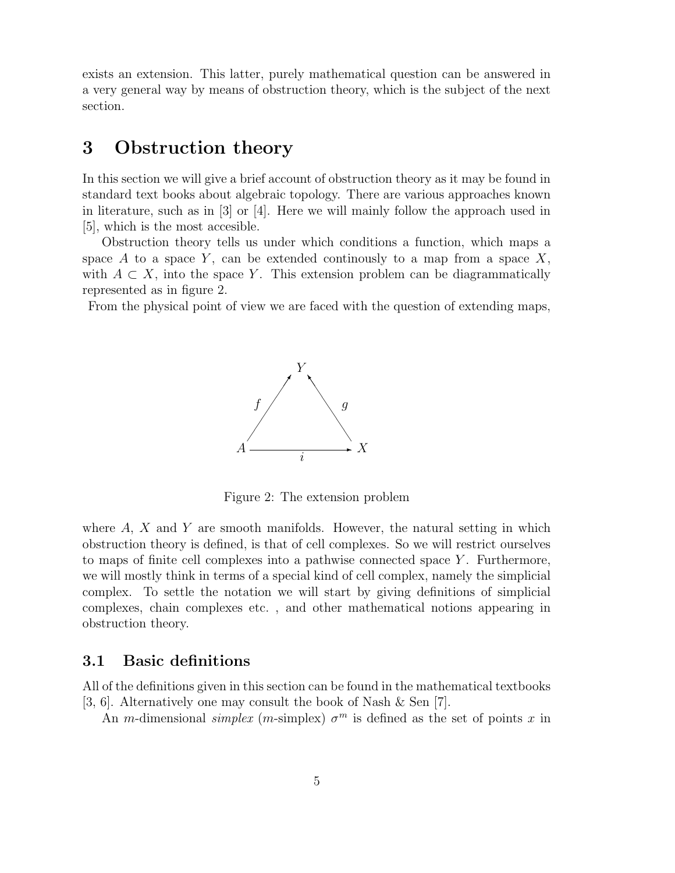exists an extension. This latter, purely mathematical question can be answered in a very general way by means of obstruction theory, which is the subject of the next section.

### 3 Obstruction theory

In this section we will give a brief account of obstruction theory as it may be found in standard text books about algebraic topology. There are various approaches known in literature, such as in [3] or [4]. Here we will mainly follow the approach used in [5], which is the most accesible.

Obstruction theory tells us under which conditions a function, which maps a space A to a space Y, can be extended continuously to a map from a space  $X$ , with  $A \subset X$ , into the space Y. This extension problem can be diagrammatically represented as in figure 2.

From the physical point of view we are faced with the question of extending maps,



Figure 2: The extension problem

where  $A, X$  and Y are smooth manifolds. However, the natural setting in which obstruction theory is defined, is that of cell complexes. So we will restrict ourselves to maps of finite cell complexes into a pathwise connected space Y . Furthermore, we will mostly think in terms of a special kind of cell complex, namely the simplicial complex. To settle the notation we will start by giving definitions of simplicial complexes, chain complexes etc. , and other mathematical notions appearing in obstruction theory.

### 3.1 Basic definitions

All of the definitions given in this section can be found in the mathematical textbooks [3, 6]. Alternatively one may consult the book of Nash & Sen [7].

An m-dimensional simplex (m-simplex)  $\sigma^m$  is defined as the set of points x in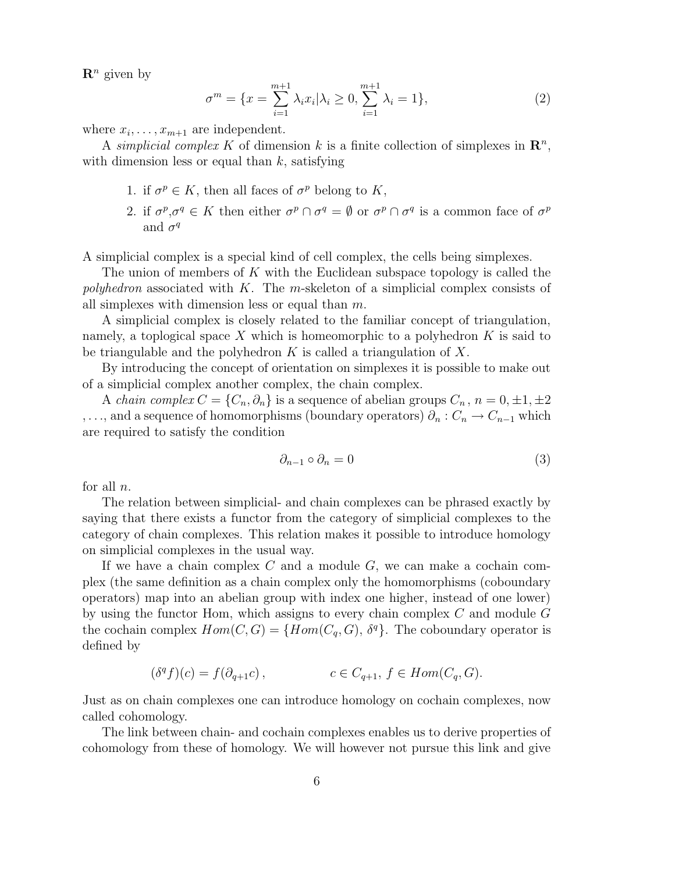$\mathbf{R}^n$  given by

$$
\sigma^m = \{ x = \sum_{i=1}^{m+1} \lambda_i x_i | \lambda_i \ge 0, \sum_{i=1}^{m+1} \lambda_i = 1 \},\tag{2}
$$

where  $x_i, \ldots, x_{m+1}$  are independent.

A simplicial complex K of dimension k is a finite collection of simplexes in  $\mathbb{R}^n$ , with dimension less or equal than  $k$ , satisfying

- 1. if  $\sigma^p \in K$ , then all faces of  $\sigma^p$  belong to K,
- 2. if  $\sigma^p, \sigma^q \in K$  then either  $\sigma^p \cap \sigma^q = \emptyset$  or  $\sigma^p \cap \sigma^q$  is a common face of  $\sigma^p$ and  $\sigma^q$

A simplicial complex is a special kind of cell complex, the cells being simplexes.

The union of members of  $K$  with the Euclidean subspace topology is called the polyhedron associated with K. The m-skeleton of a simplicial complex consists of all simplexes with dimension less or equal than m.

A simplicial complex is closely related to the familiar concept of triangulation, namely, a toplogical space X which is homeomorphic to a polyhedron  $K$  is said to be triangulable and the polyhedron  $K$  is called a triangulation of  $X$ .

By introducing the concept of orientation on simplexes it is possible to make out of a simplicial complex another complex, the chain complex.

A *chain complex*  $C = \{C_n, \partial_n\}$  is a sequence of abelian groups  $C_n$ ,  $n = 0, \pm 1, \pm 2$ ,..., and a sequence of homomorphisms (boundary operators)  $\partial_n$  :  $C_n \to C_{n-1}$  which are required to satisfy the condition

$$
\partial_{n-1} \circ \partial_n = 0 \tag{3}
$$

for all  $n$ .

The relation between simplicial- and chain complexes can be phrased exactly by saying that there exists a functor from the category of simplicial complexes to the category of chain complexes. This relation makes it possible to introduce homology on simplicial complexes in the usual way.

If we have a chain complex  $C$  and a module  $G$ , we can make a cochain complex (the same definition as a chain complex only the homomorphisms (coboundary operators) map into an abelian group with index one higher, instead of one lower) by using the functor Hom, which assigns to every chain complex  $C$  and module  $G$ the cochain complex  $Hom(C, G) = \{Hom(C_q, G), \delta^q\}$ . The coboundary operator is defined by

$$
(\delta^q f)(c) = f(\partial_{q+1} c), \qquad c \in C_{q+1}, f \in Hom(C_q, G).
$$

Just as on chain complexes one can introduce homology on cochain complexes, now called cohomology.

The link between chain- and cochain complexes enables us to derive properties of cohomology from these of homology. We will however not pursue this link and give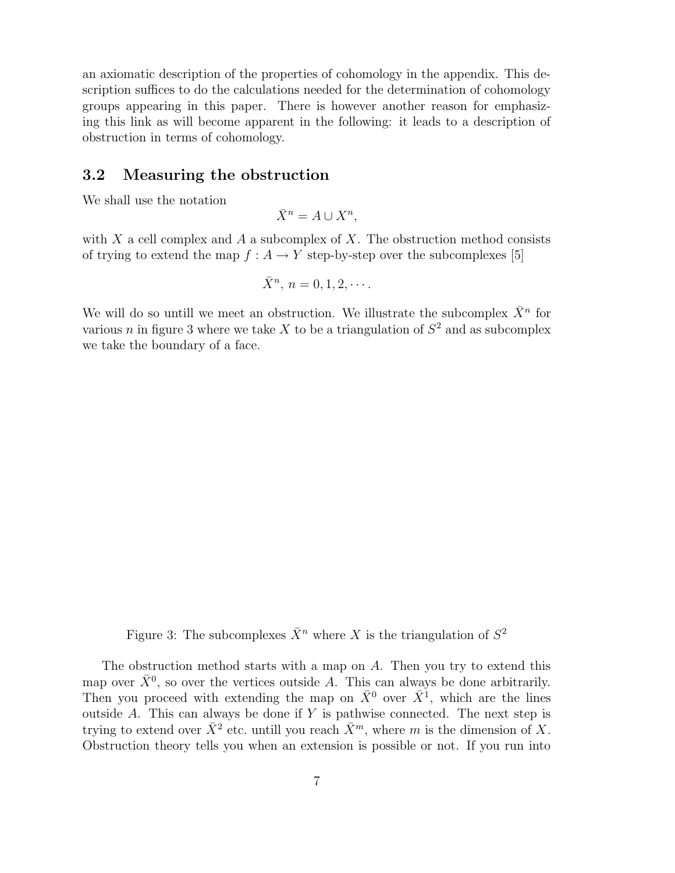an axiomatic description of the properties of cohomology in the appendix. This description suffices to do the calculations needed for the determination of cohomology groups appearing in this paper. There is however another reason for emphasizing this link as will become apparent in the following: it leads to a description of obstruction in terms of cohomology.

#### 3.2 Measuring the obstruction

We shall use the notation

$$
\bar{X}^n = A \cup X^n,
$$

with X a cell complex and A a subcomplex of X. The obstruction method consists of trying to extend the map  $f : A \to Y$  step-by-step over the subcomplexes [5]

$$
\bar{X}^n, n = 0, 1, 2, \cdots.
$$

We will do so untill we meet an obstruction. We illustrate the subcomplex  $\bar{X}^n$  for various *n* in figure 3 where we take X to be a triangulation of  $S^2$  and as subcomplex we take the boundary of a face.

Figure 3: The subcomplexes  $\bar{X}^n$  where X is the triangulation of  $S^2$ 

The obstruction method starts with a map on  $A$ . Then you try to extend this map over  $\bar{X}^0$ , so over the vertices outside A. This can always be done arbitrarily. Then you proceed with extending the map on  $\bar{X}^0$  over  $\bar{X}^1$ , which are the lines outside  $A$ . This can always be done if  $Y$  is pathwise connected. The next step is trying to extend over  $\bar{X}^2$  etc. untill you reach  $\bar{X}^m$ , where m is the dimension of X. Obstruction theory tells you when an extension is possible or not. If you run into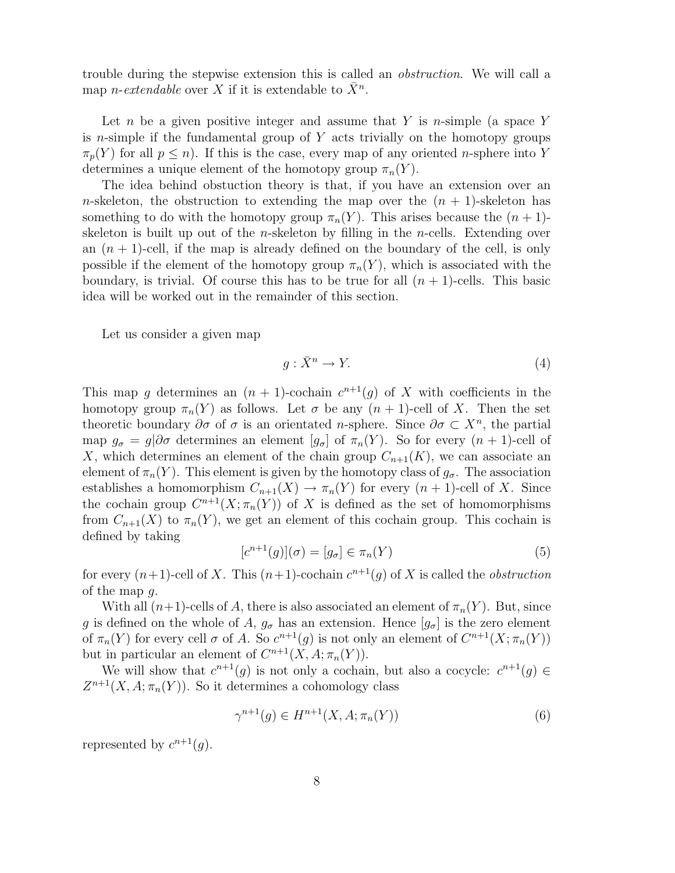trouble during the stepwise extension this is called an obstruction. We will call a map *n*-extendable over X if it is extendable to  $\bar{X}^n$ .

Let n be a given positive integer and assume that Y is n-simple (a space Y is *n*-simple if the fundamental group of  $Y$  acts trivially on the homotopy groups  $\pi_n(Y)$  for all  $p \leq n$ ). If this is the case, every map of any oriented *n*-sphere into Y determines a unique element of the homotopy group  $\pi_n(Y)$ .

The idea behind obstuction theory is that, if you have an extension over an n-skeleton, the obstruction to extending the map over the  $(n + 1)$ -skeleton has something to do with the homotopy group  $\pi_n(Y)$ . This arises because the  $(n+1)$ skeleton is built up out of the n-skeleton by filling in the n-cells. Extending over an  $(n + 1)$ -cell, if the map is already defined on the boundary of the cell, is only possible if the element of the homotopy group  $\pi_n(Y)$ , which is associated with the boundary, is trivial. Of course this has to be true for all  $(n + 1)$ -cells. This basic idea will be worked out in the remainder of this section.

Let us consider a given map

$$
g: \bar{X}^n \to Y. \tag{4}
$$

This map g determines an  $(n + 1)$ -cochain  $c^{n+1}(g)$  of X with coefficients in the homotopy group  $\pi_n(Y)$  as follows. Let  $\sigma$  be any  $(n + 1)$ -cell of X. Then the set theoretic boundary  $\partial \sigma$  of  $\sigma$  is an orientated *n*-sphere. Since  $\partial \sigma \subset X^n$ , the partial map  $g_{\sigma} = g | \partial \sigma$  determines an element  $[g_{\sigma}]$  of  $\pi_n(Y)$ . So for every  $(n+1)$ -cell of X, which determines an element of the chain group  $C_{n+1}(K)$ , we can associate an element of  $\pi_n(Y)$ . This element is given by the homotopy class of  $g_{\sigma}$ . The association establishes a homomorphism  $C_{n+1}(X) \to \pi_n(Y)$  for every  $(n+1)$ -cell of X. Since the cochain group  $C^{n+1}(X;\pi_n(Y))$  of X is defined as the set of homomorphisms from  $C_{n+1}(X)$  to  $\pi_n(Y)$ , we get an element of this cochain group. This cochain is defined by taking

$$
[c^{n+1}(g)](\sigma) = [g_{\sigma}] \in \pi_n(Y) \tag{5}
$$

for every  $(n+1)$ -cell of X. This  $(n+1)$ -cochain  $c^{n+1}(g)$  of X is called the *obstruction* of the map g.

With all  $(n+1)$ -cells of A, there is also associated an element of  $\pi_n(Y)$ . But, since g is defined on the whole of A,  $g_{\sigma}$  has an extension. Hence  $[g_{\sigma}]$  is the zero element of  $\pi_n(Y)$  for every cell  $\sigma$  of A. So  $c^{n+1}(g)$  is not only an element of  $C^{n+1}(X;\pi_n(Y))$ but in particular an element of  $C^{n+1}(X, A; \pi_n(Y)).$ 

We will show that  $c^{n+1}(g)$  is not only a cochain, but also a cocycle:  $c^{n+1}(g) \in$  $Z^{n+1}(X, A; \pi_n(Y))$ . So it determines a cohomology class

$$
\gamma^{n+1}(g) \in H^{n+1}(X, A; \pi_n(Y))\tag{6}
$$

represented by  $c^{n+1}(g)$ .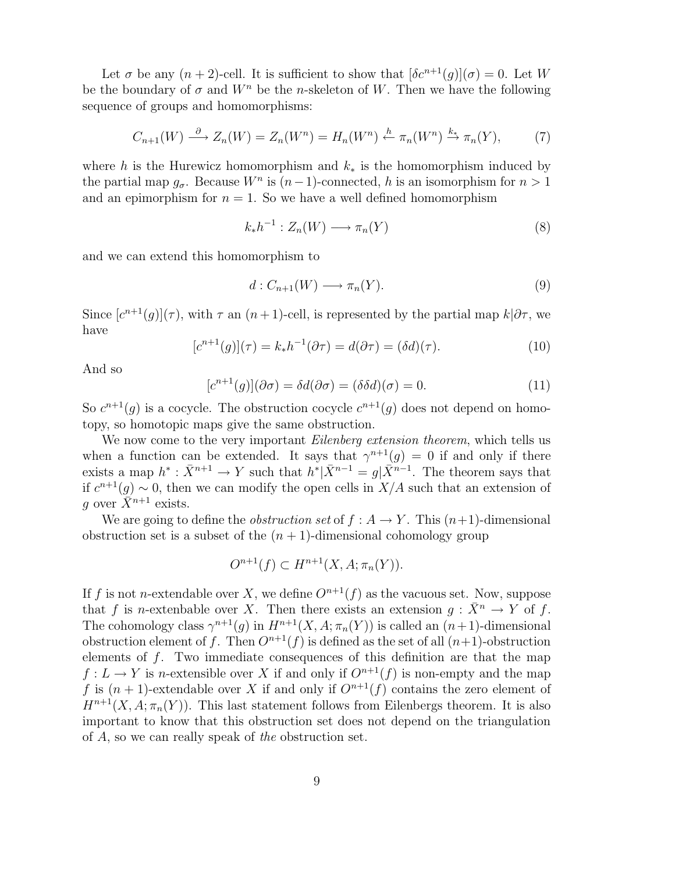Let  $\sigma$  be any  $(n+2)$ -cell. It is sufficient to show that  $[\delta c^{n+1}(g)](\sigma) = 0$ . Let W be the boundary of  $\sigma$  and  $W^n$  be the n-skeleton of W. Then we have the following sequence of groups and homomorphisms:

$$
C_{n+1}(W) \stackrel{\partial}{\longrightarrow} Z_n(W) = Z_n(W^n) = H_n(W^n) \stackrel{h}{\leftarrow} \pi_n(W^n) \stackrel{k_*}{\longrightarrow} \pi_n(Y), \tag{7}
$$

where h is the Hurewicz homomorphism and  $k_*$  is the homomorphism induced by the partial map  $g_{\sigma}$ . Because  $W^n$  is  $(n-1)$ -connected, h is an isomorphism for  $n > 1$ and an epimorphism for  $n = 1$ . So we have a well defined homomorphism

$$
k_*h^{-1}: Z_n(W) \longrightarrow \pi_n(Y) \tag{8}
$$

and we can extend this homomorphism to

$$
d: C_{n+1}(W) \longrightarrow \pi_n(Y). \tag{9}
$$

Since  $[c^{n+1}(g)](\tau)$ , with  $\tau$  an  $(n+1)$ -cell, is represented by the partial map  $k|\partial \tau$ , we have

$$
[c^{n+1}(g)](\tau) = k_*h^{-1}(\partial \tau) = d(\partial \tau) = (\delta d)(\tau). \tag{10}
$$

And so

$$
[c^{n+1}(g)](\partial \sigma) = \delta d(\partial \sigma) = (\delta \delta d)(\sigma) = 0.
$$
\n(11)

So  $c^{n+1}(g)$  is a cocycle. The obstruction cocycle  $c^{n+1}(g)$  does not depend on homotopy, so homotopic maps give the same obstruction.

We now come to the very important *Eilenberg extension theorem*, which tells us when a function can be extended. It says that  $\gamma^{n+1}(g) = 0$  if and only if there exists a map  $h^*: \bar{X}^{n+1} \to Y$  such that  $h^*|\bar{X}^{n-1} = g|\bar{X}^{n-1}$ . The theorem says that if  $c^{n+1}(g) \sim 0$ , then we can modify the open cells in  $X/A$  such that an extension of q over  $\bar{X}^{n+1}$  exists.

We are going to define the *obstruction set* of  $f : A \to Y$ . This  $(n+1)$ -dimensional obstruction set is a subset of the  $(n + 1)$ -dimensional cohomology group

$$
O^{n+1}(f) \subset H^{n+1}(X, A; \pi_n(Y)).
$$

If f is not n-extendable over X, we define  $O^{n+1}(f)$  as the vacuous set. Now, suppose that f is n-extenbable over X. Then there exists an extension  $g: \bar{X}^n \to Y$  of f. The cohomology class  $\gamma^{n+1}(g)$  in  $H^{n+1}(X, A; \pi_n(Y))$  is called an  $(n+1)$ -dimensional obstruction element of f. Then  $O^{n+1}(f)$  is defined as the set of all  $(n+1)$ -obstruction elements of f. Two immediate consequences of this definition are that the map  $f: L \to Y$  is n-extensible over X if and only if  $O^{n+1}(f)$  is non-empty and the map f is  $(n + 1)$ -extendable over X if and only if  $O^{n+1}(f)$  contains the zero element of  $H^{n+1}(X, A; \pi_n(Y))$ . This last statement follows from Eilenbergs theorem. It is also important to know that this obstruction set does not depend on the triangulation of A, so we can really speak of the obstruction set.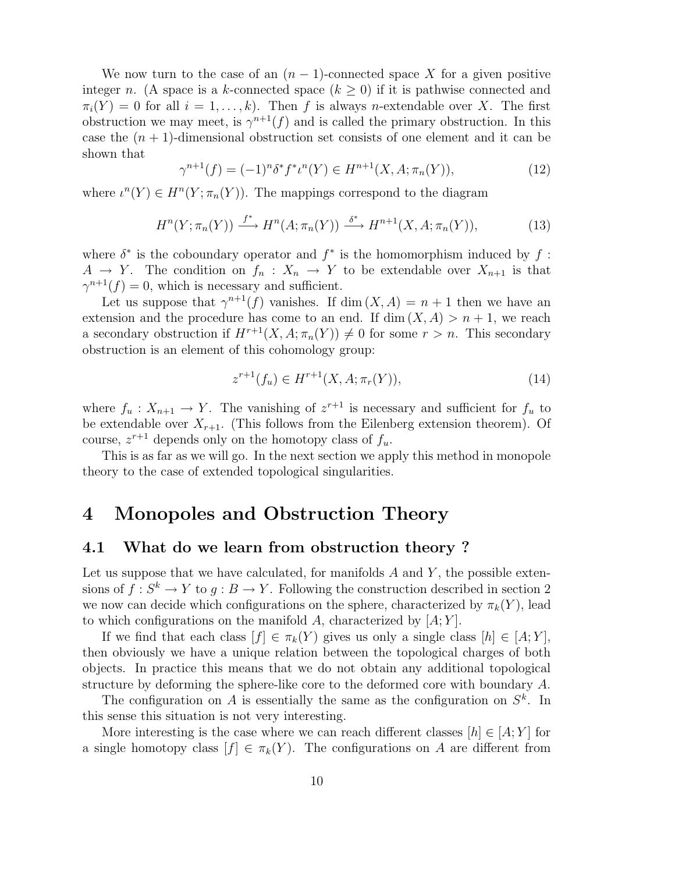We now turn to the case of an  $(n-1)$ -connected space X for a given positive integer n. (A space is a k-connected space  $(k \geq 0)$  if it is pathwise connected and  $\pi_i(Y) = 0$  for all  $i = 1, \ldots, k$ . Then f is always n-extendable over X. The first obstruction we may meet, is  $\gamma^{n+1}(f)$  and is called the primary obstruction. In this case the  $(n + 1)$ -dimensional obstruction set consists of one element and it can be shown that

$$
\gamma^{n+1}(f) = (-1)^n \delta^* f^* \iota^n(Y) \in H^{n+1}(X, A; \pi_n(Y)), \tag{12}
$$

where  $\iota^{n}(Y) \in H^{n}(Y; \pi_{n}(Y)).$  The mappings correspond to the diagram

$$
H^n(Y; \pi_n(Y)) \xrightarrow{f^*} H^n(A; \pi_n(Y)) \xrightarrow{\delta^*} H^{n+1}(X, A; \pi_n(Y)), \tag{13}
$$

where  $\delta^*$  is the coboundary operator and  $f^*$  is the homomorphism induced by  $f$ :  $A \rightarrow Y$ . The condition on  $f_n: X_n \rightarrow Y$  to be extendable over  $X_{n+1}$  is that  $\gamma^{n+1}(f) = 0$ , which is necessary and sufficient.

Let us suppose that  $\gamma^{n+1}(f)$  vanishes. If  $\dim(X, A) = n + 1$  then we have an extension and the procedure has come to an end. If  $\dim(X, A) > n + 1$ , we reach a secondary obstruction if  $H^{r+1}(X, A; \pi_n(Y)) \neq 0$  for some  $r > n$ . This secondary obstruction is an element of this cohomology group:

$$
z^{r+1}(f_u) \in H^{r+1}(X, A; \pi_r(Y)), \tag{14}
$$

where  $f_u: X_{n+1} \to Y$ . The vanishing of  $z^{r+1}$  is necessary and sufficient for  $f_u$  to be extendable over  $X_{r+1}$ . (This follows from the Eilenberg extension theorem). Of course,  $z^{r+1}$  depends only on the homotopy class of  $f_u$ .

This is as far as we will go. In the next section we apply this method in monopole theory to the case of extended topological singularities.

### 4 Monopoles and Obstruction Theory

#### 4.1 What do we learn from obstruction theory ?

Let us suppose that we have calculated, for manifolds  $A$  and  $Y$ , the possible extensions of  $f: S^k \to Y$  to  $g: B \to Y$ . Following the construction described in section 2 we now can decide which configurations on the sphere, characterized by  $\pi_k(Y)$ , lead to which configurations on the manifold  $A$ , characterized by  $[A; Y]$ .

If we find that each class  $[f] \in \pi_k(Y)$  gives us only a single class  $[h] \in [A;Y]$ , then obviously we have a unique relation between the topological charges of both objects. In practice this means that we do not obtain any additional topological structure by deforming the sphere-like core to the deformed core with boundary A.

The configuration on A is essentially the same as the configuration on  $S^k$ . In this sense this situation is not very interesting.

More interesting is the case where we can reach different classes  $[h] \in [A; Y]$  for a single homotopy class  $[f] \in \pi_k(Y)$ . The configurations on A are different from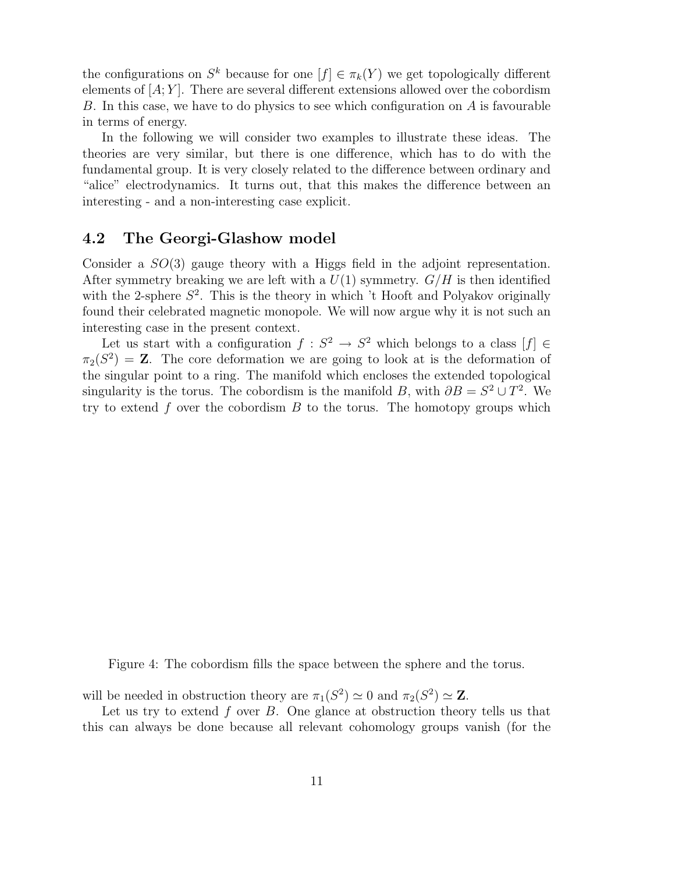the configurations on  $S^k$  because for one  $[f] \in \pi_k(Y)$  we get topologically different elements of  $[A; Y]$ . There are several different extensions allowed over the cobordism B. In this case, we have to do physics to see which configuration on A is favourable in terms of energy.

In the following we will consider two examples to illustrate these ideas. The theories are very similar, but there is one difference, which has to do with the fundamental group. It is very closely related to the difference between ordinary and "alice" electrodynamics. It turns out, that this makes the difference between an interesting - and a non-interesting case explicit.

#### 4.2 The Georgi-Glashow model

Consider a SO(3) gauge theory with a Higgs field in the adjoint representation. After symmetry breaking we are left with a  $U(1)$  symmetry.  $G/H$  is then identified with the 2-sphere  $S^2$ . This is the theory in which 't Hooft and Polyakov originally found their celebrated magnetic monopole. We will now argue why it is not such an interesting case in the present context.

Let us start with a configuration  $f: S^2 \to S^2$  which belongs to a class  $[f] \in$  $\pi_2(S^2) = \mathbf{Z}$ . The core deformation we are going to look at is the deformation of the singular point to a ring. The manifold which encloses the extended topological singularity is the torus. The cobordism is the manifold B, with  $\partial B = S^2 \cup T^2$ . We try to extend  $f$  over the cobordism  $B$  to the torus. The homotopy groups which

Figure 4: The cobordism fills the space between the sphere and the torus.

will be needed in obstruction theory are  $\pi_1(S^2) \simeq 0$  and  $\pi_2(S^2) \simeq \mathbf{Z}$ .

Let us try to extend  $f$  over  $B$ . One glance at obstruction theory tells us that this can always be done because all relevant cohomology groups vanish (for the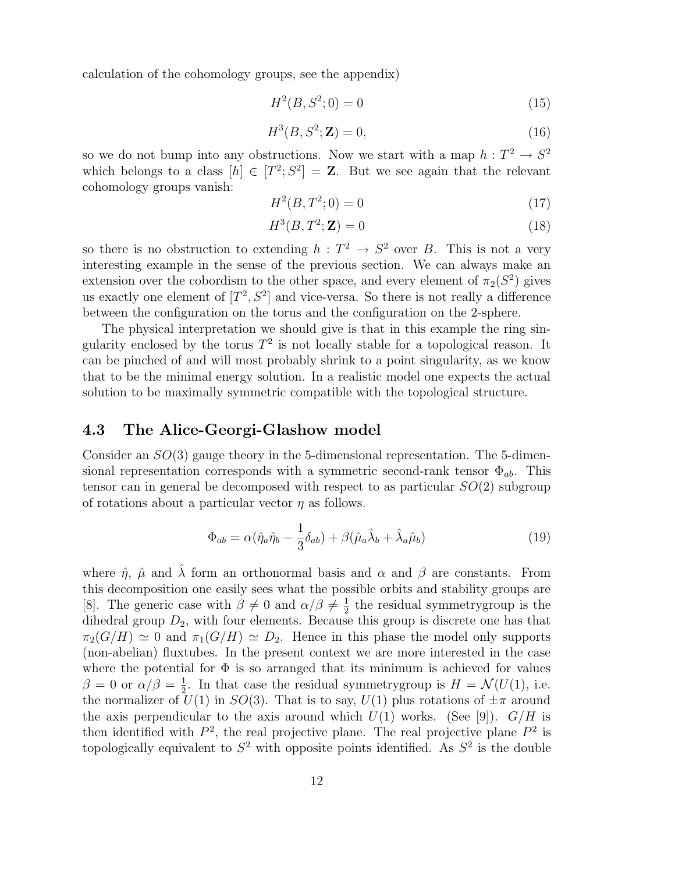calculation of the cohomology groups, see the appendix)

$$
H^2(B, S^2; 0) = 0 \tag{15}
$$

$$
H^3(B, S^2; \mathbf{Z}) = 0,\t(16)
$$

so we do not bump into any obstructions. Now we start with a map  $h: T^2 \to S^2$ which belongs to a class  $[h] \in [T^2; S^2] = \mathbb{Z}$ . But we see again that the relevant cohomology groups vanish:

$$
H^2(B, T^2; 0) = 0\tag{17}
$$

$$
H^3(B, T^2; \mathbf{Z}) = 0\tag{18}
$$

so there is no obstruction to extending  $h: T^2 \to S^2$  over B. This is not a very interesting example in the sense of the previous section. We can always make an extension over the cobordism to the other space, and every element of  $\pi_2(S^2)$  gives us exactly one element of  $[T^2, S^2]$  and vice-versa. So there is not really a difference between the configuration on the torus and the configuration on the 2-sphere.

The physical interpretation we should give is that in this example the ring singularity enclosed by the torus  $T^2$  is not locally stable for a topological reason. It can be pinched of and will most probably shrink to a point singularity, as we know that to be the minimal energy solution. In a realistic model one expects the actual solution to be maximally symmetric compatible with the topological structure.

#### 4.3 The Alice-Georgi-Glashow model

Consider an  $SO(3)$  gauge theory in the 5-dimensional representation. The 5-dimensional representation corresponds with a symmetric second-rank tensor  $\Phi_{ab}$ . This tensor can in general be decomposed with respect to as particular  $SO(2)$  subgroup of rotations about a particular vector  $\eta$  as follows.

$$
\Phi_{ab} = \alpha(\hat{\eta}_a \hat{\eta}_b - \frac{1}{3} \delta_{ab}) + \beta(\hat{\mu}_a \hat{\lambda}_b + \hat{\lambda}_a \hat{\mu}_b)
$$
(19)

where  $\hat{\eta}$ ,  $\hat{\mu}$  and  $\hat{\lambda}$  form an orthonormal basis and  $\alpha$  and  $\beta$  are constants. From this decomposition one easily sees what the possible orbits and stability groups are [8]. The generic case with  $\beta \neq 0$  and  $\alpha/\beta \neq \frac{1}{2}$  $\frac{1}{2}$  the residual symmetry group is the dihedral group  $D_2$ , with four elements. Because this group is discrete one has that  $\pi_2(G/H) \simeq 0$  and  $\pi_1(G/H) \simeq D_2$ . Hence in this phase the model only supports (non-abelian) fluxtubes. In the present context we are more interested in the case where the potential for  $\Phi$  is so arranged that its minimum is achieved for values  $\beta = 0$  or  $\alpha/\beta = \frac{1}{2}$  $\frac{1}{2}$ . In that case the residual symmetry group is  $H = \mathcal{N}(U(1))$ , i.e. the normalizer of  $U(1)$  in  $SO(3)$ . That is to say,  $U(1)$  plus rotations of  $\pm \pi$  around the axis perpendicular to the axis around which  $U(1)$  works. (See [9]).  $G/H$  is then identified with  $P^2$ , the real projective plane. The real projective plane  $P^2$  is topologically equivalent to  $S^2$  with opposite points identified. As  $S^2$  is the double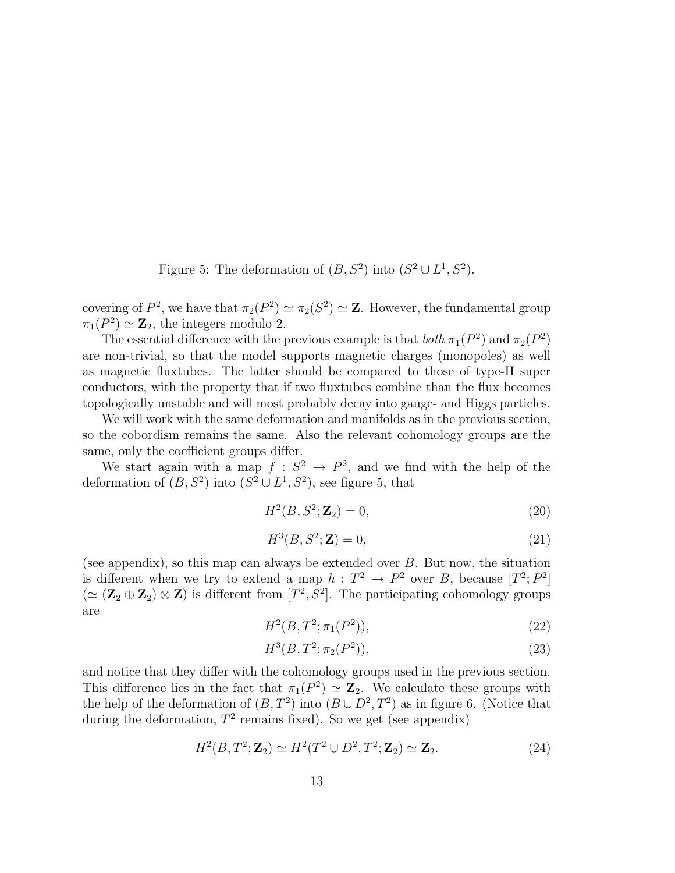Figure 5: The deformation of  $(B, S^2)$  into  $(S^2 \cup L^1, S^2)$ .

covering of  $P^2$ , we have that  $\pi_2(P^2) \simeq \pi_2(S^2) \simeq \mathbb{Z}$ . However, the fundamental group  $\pi_1(P^2) \simeq \mathbb{Z}_2$ , the integers modulo 2.

The essential difference with the previous example is that  $both \pi_1(P^2)$  and  $\pi_2(P^2)$ are non-trivial, so that the model supports magnetic charges (monopoles) as well as magnetic fluxtubes. The latter should be compared to those of type-II super conductors, with the property that if two fluxtubes combine than the flux becomes topologically unstable and will most probably decay into gauge- and Higgs particles.

We will work with the same deformation and manifolds as in the previous section, so the cobordism remains the same. Also the relevant cohomology groups are the same, only the coefficient groups differ.

We start again with a map  $f: S^2 \to P^2$ , and we find with the help of the deformation of  $(B, S^2)$  into  $(S^2 \cup L^1, S^2)$ , see figure 5, that

$$
H^2(B, S^2; \mathbf{Z}_2) = 0,\t(20)
$$

$$
H^3(B, S^2; \mathbf{Z}) = 0,\t(21)
$$

(see appendix), so this map can always be extended over  $B$ . But now, the situation is different when we try to extend a map  $h: T^2 \to P^2$  over B, because  $[T^2; P^2]$  $(\simeq (\mathbf{Z}_2 \oplus \mathbf{Z}_2) \otimes \mathbf{Z})$  is different from  $[T^2, S^2]$ . The participating cohomology groups are

$$
H^2(B, T^2; \pi_1(P^2)), \tag{22}
$$

$$
H^3(B, T^2; \pi_2(P^2)), \tag{23}
$$

and notice that they differ with the cohomology groups used in the previous section. This difference lies in the fact that  $\pi_1(P^2) \simeq \mathbb{Z}_2$ . We calculate these groups with the help of the deformation of  $(B, T^2)$  into  $(B \cup D^2, T^2)$  as in figure 6. (Notice that during the deformation,  $T^2$  remains fixed). So we get (see appendix)

$$
H2(B, T2; \mathbf{Z}_2) \simeq H2(T2 \cup D2, T2; \mathbf{Z}_2) \simeq \mathbf{Z}_2.
$$
 (24)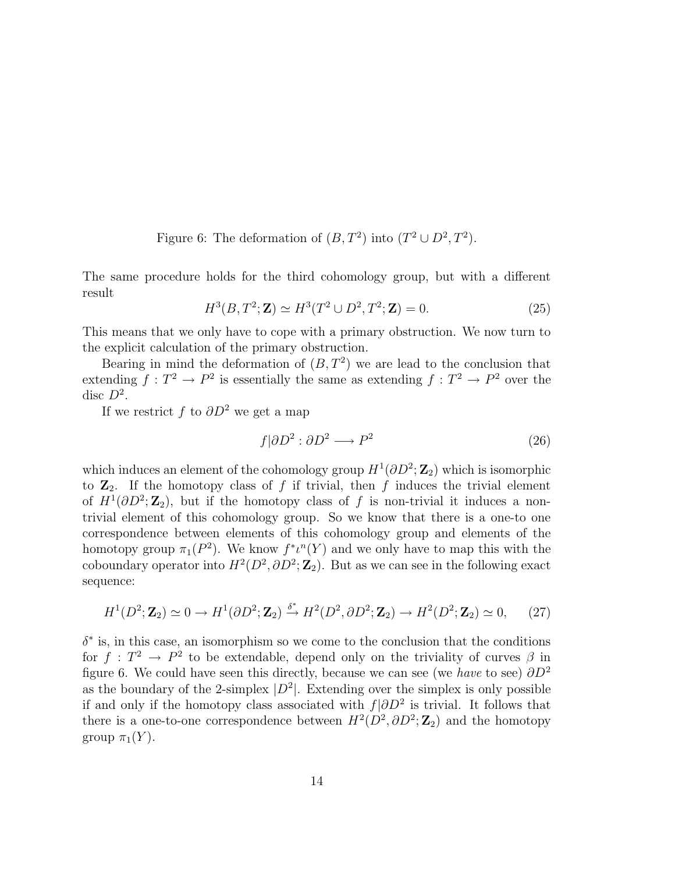Figure 6: The deformation of  $(B, T^2)$  into  $(T^2 \cup D^2, T^2)$ .

The same procedure holds for the third cohomology group, but with a different result

$$
H^{3}(B, T^{2}; \mathbf{Z}) \simeq H^{3}(T^{2} \cup D^{2}, T^{2}; \mathbf{Z}) = 0.
$$
 (25)

This means that we only have to cope with a primary obstruction. We now turn to the explicit calculation of the primary obstruction.

Bearing in mind the deformation of  $(B, T^2)$  we are lead to the conclusion that extending  $f: T^2 \to P^2$  is essentially the same as extending  $f: T^2 \to P^2$  over the disc  $D^2$ .

If we restrict f to  $\partial D^2$  we get a map

$$
f|\partial D^2 : \partial D^2 \longrightarrow P^2 \tag{26}
$$

which induces an element of the cohomology group  $H^1(\partial D^2; \mathbb{Z}_2)$  which is isomorphic to  $\mathbb{Z}_2$ . If the homotopy class of f if trivial, then f induces the trivial element of  $H^1(\partial D^2; \mathbb{Z}_2)$ , but if the homotopy class of f is non-trivial it induces a nontrivial element of this cohomology group. So we know that there is a one-to one correspondence between elements of this cohomology group and elements of the homotopy group  $\pi_1(P^2)$ . We know  $f^* \iota^n(Y)$  and we only have to map this with the coboundary operator into  $H^2(D^2, \partial D^2; \mathbb{Z}_2)$ . But as we can see in the following exact sequence:

$$
H^1(D^2; \mathbf{Z}_2) \simeq 0 \to H^1(\partial D^2; \mathbf{Z}_2) \xrightarrow{\delta^*} H^2(D^2, \partial D^2; \mathbf{Z}_2) \to H^2(D^2; \mathbf{Z}_2) \simeq 0,\tag{27}
$$

 $\delta^*$  is, in this case, an isomorphism so we come to the conclusion that the conditions for  $f: T^2 \to P^2$  to be extendable, depend only on the triviality of curves  $\beta$  in figure 6. We could have seen this directly, because we can see (we have to see)  $\partial D^2$ as the boundary of the 2-simplex  $|D^2|$ . Extending over the simplex is only possible if and only if the homotopy class associated with  $f|\partial D^2$  is trivial. It follows that there is a one-to-one correspondence between  $H^2(D^2, \partial D^2; \mathbb{Z}_2)$  and the homotopy group  $\pi_1(Y)$ .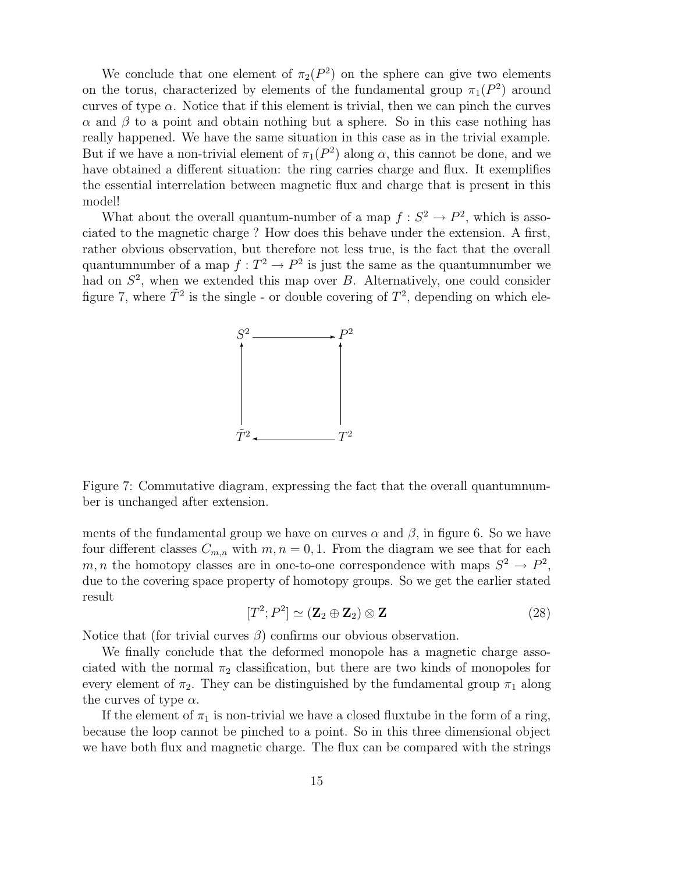We conclude that one element of  $\pi_2(P^2)$  on the sphere can give two elements on the torus, characterized by elements of the fundamental group  $\pi_1(P^2)$  around curves of type  $\alpha$ . Notice that if this element is trivial, then we can pinch the curves  $\alpha$  and  $\beta$  to a point and obtain nothing but a sphere. So in this case nothing has really happened. We have the same situation in this case as in the trivial example. But if we have a non-trivial element of  $\pi_1(P^2)$  along  $\alpha$ , this cannot be done, and we have obtained a different situation: the ring carries charge and flux. It exemplifies the essential interrelation between magnetic flux and charge that is present in this model!

What about the overall quantum-number of a map  $f: S^2 \to P^2$ , which is associated to the magnetic charge ? How does this behave under the extension. A first, rather obvious observation, but therefore not less true, is the fact that the overall quantumnumber of a map  $f: T^2 \to P^2$  is just the same as the quantumnumber we had on  $S^2$ , when we extended this map over  $B$ . Alternatively, one could consider figure 7, where  $\tilde{T}^2$  is the single - or double covering of  $T^2$ , depending on which ele-



Figure 7: Commutative diagram, expressing the fact that the overall quantumnumber is unchanged after extension.

ments of the fundamental group we have on curves  $\alpha$  and  $\beta$ , in figure 6. So we have four different classes  $C_{m,n}$  with  $m, n = 0, 1$ . From the diagram we see that for each m, n the homotopy classes are in one-to-one correspondence with maps  $S^2 \to P^2$ , due to the covering space property of homotopy groups. So we get the earlier stated result

$$
[T^2; P^2] \simeq (\mathbf{Z}_2 \oplus \mathbf{Z}_2) \otimes \mathbf{Z}
$$
 (28)

Notice that (for trivial curves  $\beta$ ) confirms our obvious observation.

We finally conclude that the deformed monopole has a magnetic charge associated with the normal  $\pi_2$  classification, but there are two kinds of monopoles for every element of  $\pi_2$ . They can be distinguished by the fundamental group  $\pi_1$  along the curves of type  $\alpha$ .

If the element of  $\pi_1$  is non-trivial we have a closed fluxtube in the form of a ring, because the loop cannot be pinched to a point. So in this three dimensional object we have both flux and magnetic charge. The flux can be compared with the strings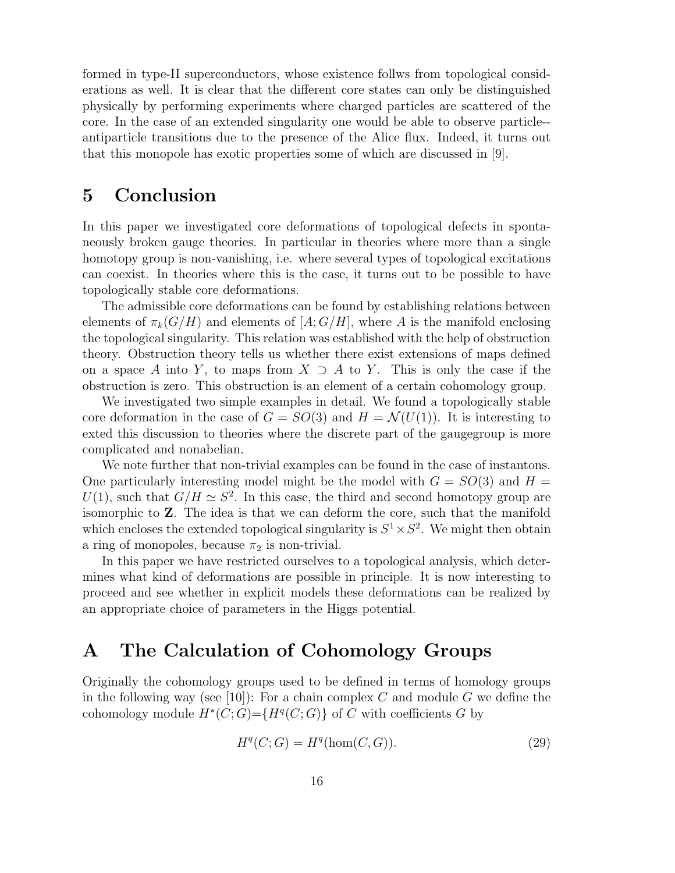formed in type-II superconductors, whose existence follws from topological considerations as well. It is clear that the different core states can only be distinguished physically by performing experiments where charged particles are scattered of the core. In the case of an extended singularity one would be able to observe particle- antiparticle transitions due to the presence of the Alice flux. Indeed, it turns out that this monopole has exotic properties some of which are discussed in [9].

### 5 Conclusion

In this paper we investigated core deformations of topological defects in spontaneously broken gauge theories. In particular in theories where more than a single homotopy group is non-vanishing, i.e. where several types of topological excitations can coexist. In theories where this is the case, it turns out to be possible to have topologically stable core deformations.

The admissible core deformations can be found by establishing relations between elements of  $\pi_k(G/H)$  and elements of  $[A;G/H]$ , where A is the manifold enclosing the topological singularity. This relation was established with the help of obstruction theory. Obstruction theory tells us whether there exist extensions of maps defined on a space A into Y, to maps from  $X \supseteq A$  to Y. This is only the case if the obstruction is zero. This obstruction is an element of a certain cohomology group.

We investigated two simple examples in detail. We found a topologically stable core deformation in the case of  $G = SO(3)$  and  $H = \mathcal{N}(U(1))$ . It is interesting to exted this discussion to theories where the discrete part of the gaugegroup is more complicated and nonabelian.

We note further that non-trivial examples can be found in the case of instantons. One particularly interesting model might be the model with  $G = SO(3)$  and  $H =$  $U(1)$ , such that  $G/H \simeq S^2$ . In this case, the third and second homotopy group are isomorphic to Z. The idea is that we can deform the core, such that the manifold which encloses the extended topological singularity is  $S^1 \times S^2$ . We might then obtain a ring of monopoles, because  $\pi_2$  is non-trivial.

In this paper we have restricted ourselves to a topological analysis, which determines what kind of deformations are possible in principle. It is now interesting to proceed and see whether in explicit models these deformations can be realized by an appropriate choice of parameters in the Higgs potential.

## A The Calculation of Cohomology Groups

Originally the cohomology groups used to be defined in terms of homology groups in the following way (see [10]): For a chain complex C and module G we define the cohomology module  $H^*(C;G) = \{H^q(C;G)\}\$  of C with coefficients G by

$$
H^q(C;G) = H^q(\text{hom}(C,G)).
$$
\n
$$
(29)
$$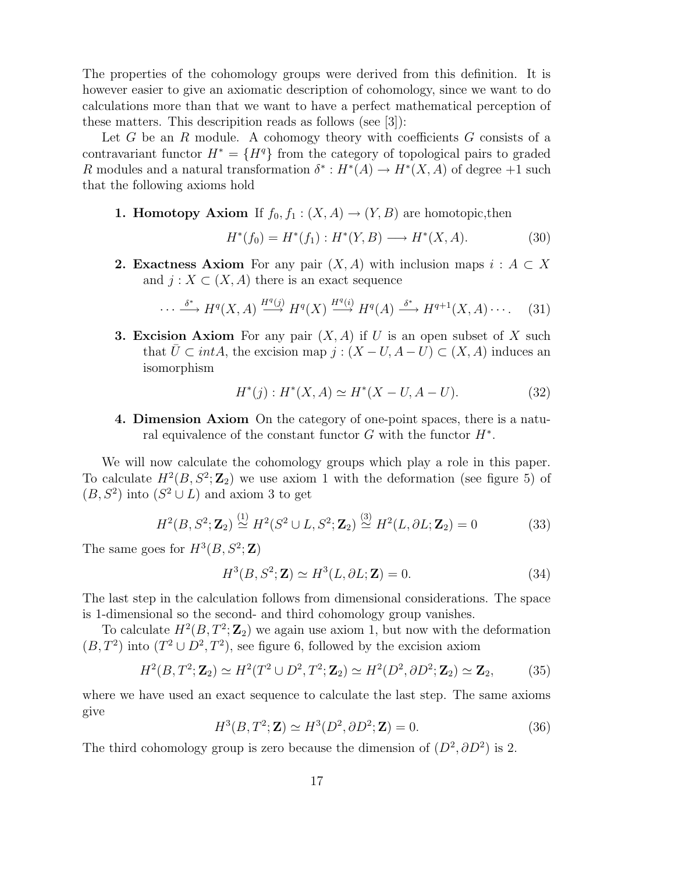The properties of the cohomology groups were derived from this definition. It is however easier to give an axiomatic description of cohomology, since we want to do calculations more than that we want to have a perfect mathematical perception of these matters. This descripition reads as follows (see [3]):

Let  $G$  be an  $R$  module. A cohomogy theory with coefficients  $G$  consists of a contravariant functor  $H^* = \{H^q\}$  from the category of topological pairs to graded R modules and a natural transformation  $\delta^* : H^*(A) \to H^*(X, A)$  of degree +1 such that the following axioms hold

**1. Homotopy Axiom** If  $f_0, f_1 : (X, A) \to (Y, B)$  are homotopic, then

$$
H^*(f_0) = H^*(f_1) : H^*(Y, B) \longrightarrow H^*(X, A). \tag{30}
$$

**2. Exactness Axiom** For any pair  $(X, A)$  with inclusion maps  $i : A \subset X$ and  $j: X \subset (X, A)$  there is an exact sequence

$$
\cdots \xrightarrow{\delta^*} H^q(X, A) \xrightarrow{H^q(j)} H^q(X) \xrightarrow{H^q(i)} H^q(A) \xrightarrow{\delta^*} H^{q+1}(X, A) \cdots. \tag{31}
$$

**3. Excision Axiom** For any pair  $(X, A)$  if U is an open subset of X such that  $\overline{U} \subset intA$ , the excision map  $j : (X - U, A - U) \subset (X, A)$  induces an isomorphism

$$
H^*(j) : H^*(X, A) \simeq H^*(X - U, A - U). \tag{32}
$$

4. Dimension Axiom On the category of one-point spaces, there is a natural equivalence of the constant functor  $G$  with the functor  $H^*$ .

We will now calculate the cohomology groups which play a role in this paper. To calculate  $H^2(B, S^2; \mathbb{Z}_2)$  we use axiom 1 with the deformation (see figure 5) of  $(B, S^2)$  into  $(S^2 \cup L)$  and axiom 3 to get

$$
H^{2}(B, S^{2}; \mathbf{Z}_{2}) \stackrel{(1)}{\simeq} H^{2}(S^{2} \cup L, S^{2}; \mathbf{Z}_{2}) \stackrel{(3)}{\simeq} H^{2}(L, \partial L; \mathbf{Z}_{2}) = 0
$$
 (33)

The same goes for  $H^3(B, S^2; \mathbb{Z})$ 

$$
H^3(B, S^2; \mathbf{Z}) \simeq H^3(L, \partial L; \mathbf{Z}) = 0.
$$
\n(34)

The last step in the calculation follows from dimensional considerations. The space is 1-dimensional so the second- and third cohomology group vanishes.

To calculate  $H^2(B, T^2; \mathbb{Z}_2)$  we again use axiom 1, but now with the deformation  $(B, T^2)$  into  $(T^2 \cup D^2, T^2)$ , see figure 6, followed by the excision axiom

$$
H^{2}(B, T^{2}; \mathbf{Z}_{2}) \simeq H^{2}(T^{2} \cup D^{2}, T^{2}; \mathbf{Z}_{2}) \simeq H^{2}(D^{2}, \partial D^{2}; \mathbf{Z}_{2}) \simeq \mathbf{Z}_{2},
$$
 (35)

where we have used an exact sequence to calculate the last step. The same axioms give

$$
H3(B, T2; \mathbf{Z}) \simeq H3(D2, \partial D2; \mathbf{Z}) = 0.
$$
 (36)

The third cohomology group is zero because the dimension of  $(D^2, \partial D^2)$  is 2.